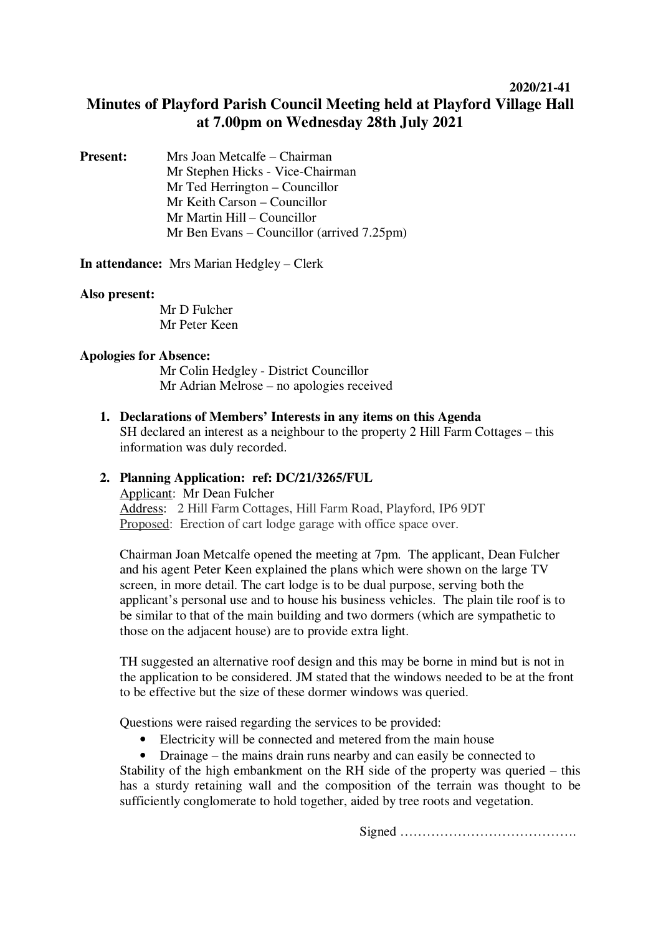## **2020/21-41**

# **Minutes of Playford Parish Council Meeting held at Playford Village Hall at 7.00pm on Wednesday 28th July 2021**

| <b>Present:</b> | Mrs Joan Metcalfe – Chairman                          |
|-----------------|-------------------------------------------------------|
|                 | Mr Stephen Hicks - Vice-Chairman                      |
|                 | Mr Ted Herrington – Councillor                        |
|                 | Mr Keith Carson – Councillor                          |
|                 | Mr Martin Hill – Councillor                           |
|                 | Mr Ben Evans – Councillor (arrived $7.25 \text{pm}$ ) |

**In attendance:** Mrs Marian Hedgley – Clerk

#### **Also present:**

Mr D Fulcher Mr Peter Keen

#### **Apologies for Absence:**

Mr Colin Hedgley - District Councillor Mr Adrian Melrose – no apologies received

**1. Declarations of Members' Interests in any items on this Agenda** SH declared an interest as a neighbour to the property 2 Hill Farm Cottages – this information was duly recorded.

### **2. Planning Application: ref: DC/21/3265/FUL**

Applicant: Mr Dean Fulcher Address: 2 Hill Farm Cottages, Hill Farm Road, Playford, IP6 9DT Proposed: Erection of cart lodge garage with office space over.

Chairman Joan Metcalfe opened the meeting at 7pm. The applicant, Dean Fulcher and his agent Peter Keen explained the plans which were shown on the large TV screen, in more detail. The cart lodge is to be dual purpose, serving both the applicant's personal use and to house his business vehicles. The plain tile roof is to be similar to that of the main building and two dormers (which are sympathetic to those on the adjacent house) are to provide extra light.

TH suggested an alternative roof design and this may be borne in mind but is not in the application to be considered. JM stated that the windows needed to be at the front to be effective but the size of these dormer windows was queried.

Questions were raised regarding the services to be provided:

• Electricity will be connected and metered from the main house

• Drainage – the mains drain runs nearby and can easily be connected to Stability of the high embankment on the RH side of the property was queried – this has a sturdy retaining wall and the composition of the terrain was thought to be sufficiently conglomerate to hold together, aided by tree roots and vegetation.

Signed ………………………………….